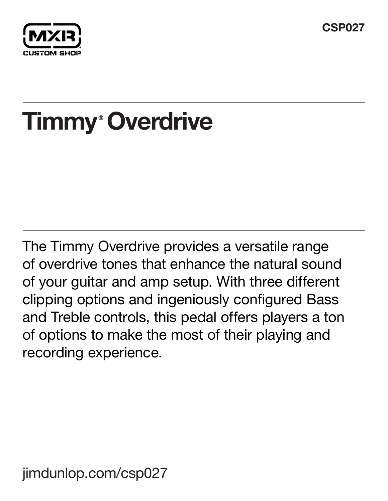**CSP027**



# **Timmy Overdrive ®**

The Timmy Overdrive provides a versatile range of overdrive tones that enhance the natural sound of your guitar and amp setup. With three different clipping options and ingeniously configured Bass and Treble controls, this pedal offers players a ton of options to make the most of their playing and recording experience.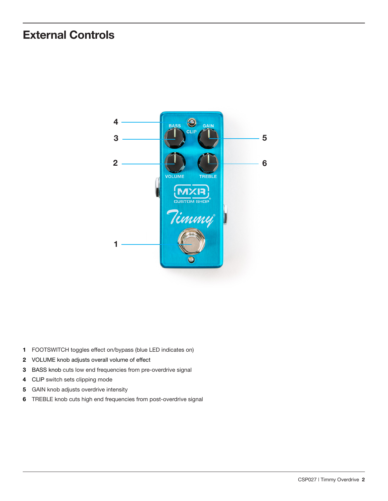## **External Controls**



- FOOTSWITCH toggles effect on/bypass (blue LED indicates on)
- VOLUME knob adjusts overall volume of effect
- BASS knob cuts low end frequencies from pre-overdrive signal
- CLIP switch sets clipping mode
- GAIN knob adjusts overdrive intensity
- TREBLE knob cuts high end frequencies from post-overdrive signal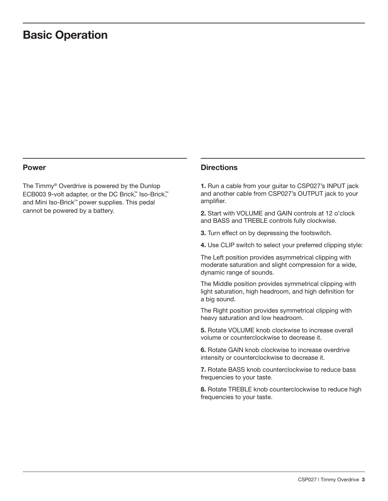### **Basic Operation**

The Timmy® Overdrive is powered by the Dunlop ECB003 9-volt adapter, or the DC Brick™, Iso-Brick™, and Mini Iso-Brick™ power supplies. This pedal cannot be powered by a battery.

### **Power Directions**

**1.** Run a cable from your guitar to CSP027's INPUT jack and another cable from CSP027's OUTPUT jack to your amplifier.

**2.** Start with VOLUME and GAIN controls at 12 o'clock and BASS and TREBLE controls fully clockwise.

**3.** Turn effect on by depressing the footswitch.

**4.** Use CLIP switch to select your preferred clipping style:

The Left position provides asymmetrical clipping with moderate saturation and slight compression for a wide, dynamic range of sounds.

The Middle position provides symmetrical clipping with light saturation, high headroom, and high definition for a big sound.

The Right position provides symmetrical clipping with heavy saturation and low headroom.

**5.** Rotate VOLUME knob clockwise to increase overall volume or counterclockwise to decrease it.

**6.** Rotate GAIN knob clockwise to increase overdrive intensity or counterclockwise to decrease it.

**7.** Rotate BASS knob counterclockwise to reduce bass frequencies to your taste.

**8.** Rotate TREBLE knob counterclockwise to reduce high frequencies to your taste.